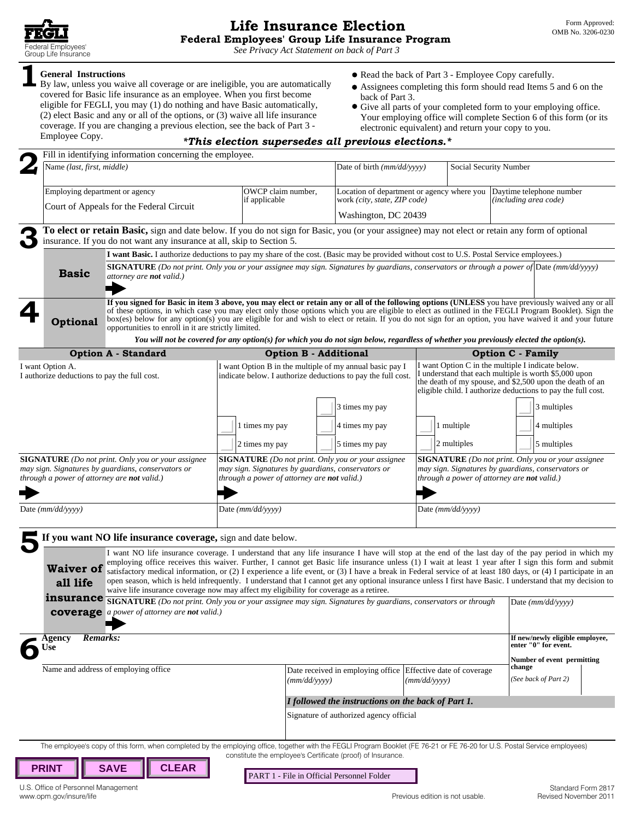*See [Privacy Act Statement on back of Part 3](#page-4-0)*

Group Life Insurance<br>
See Privacy Act Statement on back of Part 3<br>
By law, unless you waive all coverage or are ineligible, you are automatically<br>
By law, unless you waive all coverage or are ineligible, you are automatica By law, unless you waive all coverage or are ineligible, you are automatically <br>covered for Basic life insurance as an employee. When you first become<br>eligible for FEGLI, you may (1) do nothing and have Basic automatically General Instructions<br>
By law, unless you waive all coverage or are ineligible, you are automatically<br>
Expection of Part 3 - Employee Copy carefully.<br>
Expection should read Items 5 and 6 on the<br>
covered for Basic life insur coverage. If you are changing a previous election, see the back of Part 3 - electronic equivalent) and return your copy to you.<br><sup>\*This election supersedes all previous elections.\*</sup>

- 
- 
- 

|  |                                                                                                                                                                                                                                                                                                                                                                                                                                                                                                                                                | Fill in identifying information concerning the employee.                                                                                                                                                                   |                                                                                                                                                   |                                                    |                                                                                                     |                                                                                                                                                                                                                                        |                        |                                                                                                                                                                                                                                                                                                                                                                                                                                                                                                                                                                                                                                                            |  |
|--|------------------------------------------------------------------------------------------------------------------------------------------------------------------------------------------------------------------------------------------------------------------------------------------------------------------------------------------------------------------------------------------------------------------------------------------------------------------------------------------------------------------------------------------------|----------------------------------------------------------------------------------------------------------------------------------------------------------------------------------------------------------------------------|---------------------------------------------------------------------------------------------------------------------------------------------------|----------------------------------------------------|-----------------------------------------------------------------------------------------------------|----------------------------------------------------------------------------------------------------------------------------------------------------------------------------------------------------------------------------------------|------------------------|------------------------------------------------------------------------------------------------------------------------------------------------------------------------------------------------------------------------------------------------------------------------------------------------------------------------------------------------------------------------------------------------------------------------------------------------------------------------------------------------------------------------------------------------------------------------------------------------------------------------------------------------------------|--|
|  | Name (last, first, middle)<br>Employing department or agency<br>Court of Appeals for the Federal Circuit                                                                                                                                                                                                                                                                                                                                                                                                                                       |                                                                                                                                                                                                                            |                                                                                                                                                   |                                                    | Date of birth (mm/dd/yyyy)                                                                          |                                                                                                                                                                                                                                        | Social Security Number |                                                                                                                                                                                                                                                                                                                                                                                                                                                                                                                                                                                                                                                            |  |
|  |                                                                                                                                                                                                                                                                                                                                                                                                                                                                                                                                                |                                                                                                                                                                                                                            | OWCP claim number,<br>if applicable                                                                                                               |                                                    | Location of department or agency where you Daytime telephone number<br>work (city, state, ZIP code) |                                                                                                                                                                                                                                        | (including area code)  |                                                                                                                                                                                                                                                                                                                                                                                                                                                                                                                                                                                                                                                            |  |
|  |                                                                                                                                                                                                                                                                                                                                                                                                                                                                                                                                                |                                                                                                                                                                                                                            |                                                                                                                                                   |                                                    |                                                                                                     | Washington, DC 20439                                                                                                                                                                                                                   |                        |                                                                                                                                                                                                                                                                                                                                                                                                                                                                                                                                                                                                                                                            |  |
|  |                                                                                                                                                                                                                                                                                                                                                                                                                                                                                                                                                | To elect or retain Basic, sign and date below. If you do not sign for Basic, you (or your assignee) may not elect or retain any form of optional<br>insurance. If you do not want any insurance at all, skip to Section 5. |                                                                                                                                                   |                                                    |                                                                                                     |                                                                                                                                                                                                                                        |                        |                                                                                                                                                                                                                                                                                                                                                                                                                                                                                                                                                                                                                                                            |  |
|  |                                                                                                                                                                                                                                                                                                                                                                                                                                                                                                                                                |                                                                                                                                                                                                                            | I want Basic. I authorize deductions to pay my share of the cost. (Basic may be provided without cost to U.S. Postal Service employees.)          |                                                    |                                                                                                     |                                                                                                                                                                                                                                        |                        |                                                                                                                                                                                                                                                                                                                                                                                                                                                                                                                                                                                                                                                            |  |
|  | <b>Basic</b>                                                                                                                                                                                                                                                                                                                                                                                                                                                                                                                                   | attorney are <b>not</b> valid.)                                                                                                                                                                                            | <b>SIGNATURE</b> (Do not print. Only you or your assignee may sign. Signatures by guardians, conservators or through a power of Date (mm/dd/yyyy) |                                                    |                                                                                                     |                                                                                                                                                                                                                                        |                        |                                                                                                                                                                                                                                                                                                                                                                                                                                                                                                                                                                                                                                                            |  |
|  | If you signed for Basic in item 3 above, you may elect or retain any or all of the following options (UNLESS you have previously waived any or all<br>of these options, in which case you may elect only those options which you are eligible to elect as outlined in the FEGLI Program Booklet). Sign the<br>box(es) below for any option(s) you are eligible for and wish to elect or retain. If you do not sign for an option, you have waived it and your future<br><b>Optional</b><br>opportunities to enroll in it are strictly limited. |                                                                                                                                                                                                                            |                                                                                                                                                   |                                                    |                                                                                                     |                                                                                                                                                                                                                                        |                        |                                                                                                                                                                                                                                                                                                                                                                                                                                                                                                                                                                                                                                                            |  |
|  |                                                                                                                                                                                                                                                                                                                                                                                                                                                                                                                                                |                                                                                                                                                                                                                            |                                                                                                                                                   |                                                    |                                                                                                     |                                                                                                                                                                                                                                        |                        | You will not be covered for any option(s) for which you do not sign below, regardless of whether you previously elected the option(s).                                                                                                                                                                                                                                                                                                                                                                                                                                                                                                                     |  |
|  |                                                                                                                                                                                                                                                                                                                                                                                                                                                                                                                                                | <b>Option A - Standard</b>                                                                                                                                                                                                 |                                                                                                                                                   | <b>Option B - Additional</b>                       |                                                                                                     |                                                                                                                                                                                                                                        |                        | <b>Option C - Family</b>                                                                                                                                                                                                                                                                                                                                                                                                                                                                                                                                                                                                                                   |  |
|  | I want Option A.<br>I authorize deductions to pay the full cost.                                                                                                                                                                                                                                                                                                                                                                                                                                                                               |                                                                                                                                                                                                                            | I want Option B in the multiple of my annual basic pay I<br>indicate below. I authorize deductions to pay the full cost.                          |                                                    |                                                                                                     | I want Option C in the multiple I indicate below.<br>I understand that each multiple is worth \$5,000 upon<br>the death of my spouse, and \$2,500 upon the death of an<br>eligible child. I authorize deductions to pay the full cost. |                        |                                                                                                                                                                                                                                                                                                                                                                                                                                                                                                                                                                                                                                                            |  |
|  |                                                                                                                                                                                                                                                                                                                                                                                                                                                                                                                                                |                                                                                                                                                                                                                            |                                                                                                                                                   |                                                    | 3 times my pay                                                                                      |                                                                                                                                                                                                                                        |                        | 3 multiples                                                                                                                                                                                                                                                                                                                                                                                                                                                                                                                                                                                                                                                |  |
|  |                                                                                                                                                                                                                                                                                                                                                                                                                                                                                                                                                |                                                                                                                                                                                                                            | 1 times my pay                                                                                                                                    |                                                    | 4 times my pay                                                                                      |                                                                                                                                                                                                                                        | 1 multiple             | 4 multiples                                                                                                                                                                                                                                                                                                                                                                                                                                                                                                                                                                                                                                                |  |
|  |                                                                                                                                                                                                                                                                                                                                                                                                                                                                                                                                                |                                                                                                                                                                                                                            |                                                                                                                                                   |                                                    |                                                                                                     |                                                                                                                                                                                                                                        |                        |                                                                                                                                                                                                                                                                                                                                                                                                                                                                                                                                                                                                                                                            |  |
|  |                                                                                                                                                                                                                                                                                                                                                                                                                                                                                                                                                |                                                                                                                                                                                                                            | 2 times my pay                                                                                                                                    |                                                    | 5 times my pay                                                                                      |                                                                                                                                                                                                                                        | 2 multiples            | 5 multiples                                                                                                                                                                                                                                                                                                                                                                                                                                                                                                                                                                                                                                                |  |
|  | <b>SIGNATURE</b> (Do not print. Only you or your assignee<br>may sign. Signatures by guardians, conservators or<br>through a power of attorney are not valid.)                                                                                                                                                                                                                                                                                                                                                                                 | <b>SIGNATURE</b> (Do not print. Only you or your assignee<br>may sign. Signatures by guardians, conservators or<br>through a power of attorney are not valid.)                                                             |                                                                                                                                                   |                                                    |                                                                                                     | <b>SIGNATURE</b> (Do not print. Only you or your assignee<br>may sign. Signatures by guardians, conservators or<br>through a power of attorney are not valid.)                                                                         |                        |                                                                                                                                                                                                                                                                                                                                                                                                                                                                                                                                                                                                                                                            |  |
|  | Date (mm/dd/yyyy)                                                                                                                                                                                                                                                                                                                                                                                                                                                                                                                              |                                                                                                                                                                                                                            | Date (mm/dd/yyyy)                                                                                                                                 |                                                    |                                                                                                     |                                                                                                                                                                                                                                        | Date (mm/dd/yyyy)      |                                                                                                                                                                                                                                                                                                                                                                                                                                                                                                                                                                                                                                                            |  |
|  |                                                                                                                                                                                                                                                                                                                                                                                                                                                                                                                                                | If you want NO life insurance coverage, sign and date below.                                                                                                                                                               |                                                                                                                                                   |                                                    |                                                                                                     |                                                                                                                                                                                                                                        |                        |                                                                                                                                                                                                                                                                                                                                                                                                                                                                                                                                                                                                                                                            |  |
|  | all life                                                                                                                                                                                                                                                                                                                                                                                                                                                                                                                                       | waive life insurance coverage now may affect my eligibility for coverage as a retiree.                                                                                                                                     |                                                                                                                                                   |                                                    |                                                                                                     |                                                                                                                                                                                                                                        |                        | I want NO life insurance coverage. I understand that any life insurance I have will stop at the end of the last day of the pay period in which my<br>employing office receives this waiver. Further, I cannot get Basic life insurance unless (1) I wait at least 1 year after I sign this form and submit<br><b>Waiver of</b> satisfactory medical information, or (2) I experience a life event, or (3) I have a break in Federal service of at least 180 days, or (4) I participate in an<br>open season, which is held infrequently. I understand that I cannot get any optional insurance unless I first have Basic. I understand that my decision to |  |
|  | <b>insurance</b> SIGNATURE (Do not print. Only you or your assignee may sign. Signatures by guardians, conservators or through<br><b>coverage</b> a power of attorney are not valid.)                                                                                                                                                                                                                                                                                                                                                          | Date $(mm/dd/yyyy)$                                                                                                                                                                                                        |                                                                                                                                                   |                                                    |                                                                                                     |                                                                                                                                                                                                                                        |                        |                                                                                                                                                                                                                                                                                                                                                                                                                                                                                                                                                                                                                                                            |  |
|  | Remarks:<br>Agency<br>Use                                                                                                                                                                                                                                                                                                                                                                                                                                                                                                                      |                                                                                                                                                                                                                            |                                                                                                                                                   |                                                    |                                                                                                     |                                                                                                                                                                                                                                        |                        | If new/newly eligible employee,<br>enter "0" for event.                                                                                                                                                                                                                                                                                                                                                                                                                                                                                                                                                                                                    |  |
|  | Name and address of employing office                                                                                                                                                                                                                                                                                                                                                                                                                                                                                                           |                                                                                                                                                                                                                            |                                                                                                                                                   | (mm/dd/yyyy)                                       | Date received in employing office Effective date of coverage                                        | (mm/dd/vyyy)                                                                                                                                                                                                                           |                        | Number of event permitting<br>change<br>(See back of Part 2)                                                                                                                                                                                                                                                                                                                                                                                                                                                                                                                                                                                               |  |
|  |                                                                                                                                                                                                                                                                                                                                                                                                                                                                                                                                                |                                                                                                                                                                                                                            |                                                                                                                                                   |                                                    |                                                                                                     |                                                                                                                                                                                                                                        |                        |                                                                                                                                                                                                                                                                                                                                                                                                                                                                                                                                                                                                                                                            |  |
|  |                                                                                                                                                                                                                                                                                                                                                                                                                                                                                                                                                |                                                                                                                                                                                                                            |                                                                                                                                                   | I followed the instructions on the back of Part 1. |                                                                                                     |                                                                                                                                                                                                                                        |                        |                                                                                                                                                                                                                                                                                                                                                                                                                                                                                                                                                                                                                                                            |  |
|  |                                                                                                                                                                                                                                                                                                                                                                                                                                                                                                                                                |                                                                                                                                                                                                                            |                                                                                                                                                   |                                                    | Signature of authorized agency official                                                             |                                                                                                                                                                                                                                        |                        |                                                                                                                                                                                                                                                                                                                                                                                                                                                                                                                                                                                                                                                            |  |
|  |                                                                                                                                                                                                                                                                                                                                                                                                                                                                                                                                                | The employee's copy of this form, when completed by the employing office, together with the FEGLI Program Booklet (FE 76-21 or FE 76-20 for U.S. Postal Service employees)                                                 |                                                                                                                                                   |                                                    |                                                                                                     |                                                                                                                                                                                                                                        |                        |                                                                                                                                                                                                                                                                                                                                                                                                                                                                                                                                                                                                                                                            |  |
|  | <b>PRINT</b>                                                                                                                                                                                                                                                                                                                                                                                                                                                                                                                                   | <b>CLEAR</b><br><b>SAVE</b>                                                                                                                                                                                                |                                                                                                                                                   |                                                    | constitute the employee's Certificate (proof) of Insurance.                                         |                                                                                                                                                                                                                                        |                        |                                                                                                                                                                                                                                                                                                                                                                                                                                                                                                                                                                                                                                                            |  |
|  | U.S. Office of Personnel Management<br>www.opm.gov/insure/life                                                                                                                                                                                                                                                                                                                                                                                                                                                                                 |                                                                                                                                                                                                                            |                                                                                                                                                   |                                                    | PART 1 - File in Official Personnel Folder                                                          | Previous edition is not usable.                                                                                                                                                                                                        |                        | Standard Form 2817<br>Revised November 2011                                                                                                                                                                                                                                                                                                                                                                                                                                                                                                                                                                                                                |  |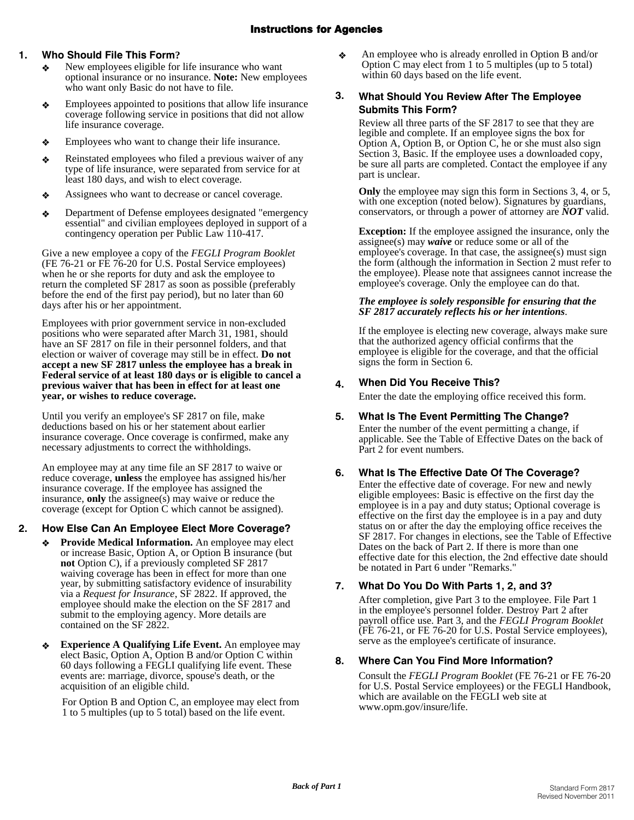# Instructions for Agencies

# **1. Who Should File This Form?**

- New employees eligible for life insurance who want optional insurance or no insurance. **Note:** New employees who want only Basic do not have to file.
- $\triangle$  Employees appointed to positions that allow life insurance coverage following service in positions that did not allow life insurance coverage.
- $\triangleleft$  Employees who want to change their life insurance.
- $\triangleleft$  Reinstated employees who filed a previous waiver of any type of life insurance, were separated from service for at least 180 days, and wish to elect coverage.
- $\triangleleft$  Assignees who want to decrease or cancel coverage.
- ◆ Department of Defense employees designated "emergency essential" and civilian employees deployed in support of a contingency operation per Public Law 110-417.

Give a new employee a copy of the *FEGLI Program Booklet* (FE 76-21 or FE 76-20 for U.S. Postal Service employees) when he or she reports for duty and ask the employee to return the completed SF 2817 as soon as possible (preferably before the end of the first pay period), but no later than 60 days after his or her appointment.

Employees with prior government service in non-excluded positions who were separated after March 31, 1981, should have an SF 2817 on file in their personnel folders, and that election or waiver of coverage may still be in effect. **Do not accept a new SF 2817 unless the employee has a break in Federal service of at least 180 days or is eligible to cancel a previous waiver that has been in effect for at least one year, or wishes to reduce coverage.** 

Until you verify an employee's SF 2817 on file, make deductions based on his or her statement about earlier insurance coverage. Once coverage is confirmed, make any necessary adjustments to correct the withholdings.

An employee may at any time file an SF 2817 to waive or reduce coverage, **unless** the employee has assigned his/her insurance coverage. If the employee has assigned the insurance, **only** the assignee(s) may waive or reduce the coverage (except for Option C which cannot be assigned).

# **2. How Else Can An Employee Elect More Coverage?**

- **Provide Medical Information.** An employee may elect or increase Basic, Option A, or Option B insurance (but **not** Option C), if a previously completed SF 2817 waiving coverage has been in effect for more than one year, by submitting satisfactory evidence of insurability via a *Request for Insurance*, SF 2822. If approved, the employee should make the election on the SF 2817 and submit to the employing agency. More details are contained on the SF 2822.
- **Experience A Qualifying Life Event.** An employee may elect Basic, Option A, Option B and/or Option C within 60 days following a FEGLI qualifying life event. These events are: marriage, divorce, spouse's death, or the acquisition of an eligible child.

For Option B and Option C, an employee may elect from 1 to 5 multiples (up to 5 total) based on the life event.

 $\triangle$  An employee who is already enrolled in Option B and/or Option C may elect from 1 to 5 multiples (up to 5 total) within 60 days based on the life event.

# **3. What Should You Review After The Employee Submits This Form?**

Review all three parts of the SF 2817 to see that they are legible and complete. If an employee signs the box for Option A, Option B, or Option C, he or she must also sign Section 3, Basic. If the employee uses a downloaded copy, be sure all parts are completed. Contact the employee if any part is unclear.

**Only** the employee may sign this form in Sections 3, 4, or 5, with one exception (noted below). Signatures by guardians, conservators, or through a power of attorney are *NOT* valid.

**Exception:** If the employee assigned the insurance, only the assignee(s) may *waive* or reduce some or all of the employee's coverage. In that case, the assignee(s) must sign the form (although the information in Section 2 must refer to the employee). Please note that assignees cannot increase the employee's coverage. Only the employee can do that.

## *The employee is solely responsible for ensuring that the SF 2817 accurately reflects his or her intentions*.

If the employee is electing new coverage, always make sure that the authorized agency official confirms that the employee is eligible for the coverage, and that the official signs the form in Section 6.

# **4. When Did You Receive This?**

Enter the date the employing office received this form.

# **5. What Is The Event Permitting The Change?**

Enter the number of the event permitting a change, if applicable. See the Table of Effective Dates on the back of Part 2 for event numbers.

# **6. What Is The Effective Date Of The Coverage?**

Enter the effective date of coverage. For new and newly eligible employees: Basic is effective on the first day the employee is in a pay and duty status; Optional coverage is effective on the first day the employee is in a pay and duty status on or after the day the employing office receives the SF 2817. For changes in elections, see the Table of Effective Dates on the back of Part 2. If there is more than one effective date for this election, the 2nd effective date should be notated in Part 6 under "Remarks."

# **7. What Do You Do With Parts 1, 2, and 3?**

After completion, give Part 3 to the employee. File Part 1 in the employee's personnel folder. Destroy Part 2 after payroll office use. Part 3, and the *FEGLI Program Booklet* (FE 76-21, or FE 76-20 for U.S. Postal Service employees), serve as the employee's certificate of insurance.

# **8. Where Can You Find More Information?**

Consult the *FEGLI Program Booklet* (FE 76-21 or FE 76-20 for U.S. Postal Service employees) or the FEGLI Handbook, which are available on the FEGLI web site at [www.opm.gov/insure/life.](http://www.opm.gov/insure/life)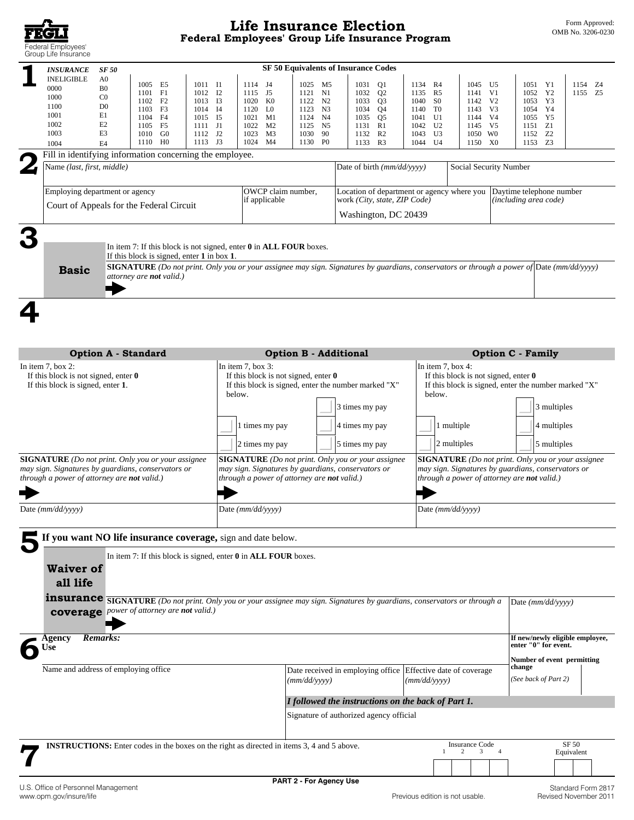

| <b>INSURANCE</b><br><b>INELIGIBLE</b><br>0000<br>1000<br>1100<br>1001<br>1002<br>1003<br>1004         | <b>SF 50</b><br>A <sub>0</sub><br>1005 E5<br>1011 I1<br>B <sub>0</sub><br>F1<br>1012 I2<br>1101<br>C <sub>0</sub><br>1102<br>F2<br>1013 I3<br>D <sub>0</sub><br>1103<br>F3<br>1014<br>E1<br>1104<br>F4<br>1015<br>E2<br>F <sub>5</sub><br>1105<br>1111 J1<br>E3<br>G <sub>0</sub><br>1112 J <sub>2</sub><br>1010<br>1110 HO<br>1113 J3<br>E4 | <b>SF 50 Equivalents of Insurance Codes</b><br>1114 J4<br>1025 M5<br>1115<br>J5<br>N1<br>1121<br>1020<br>K0<br>1122<br>N <sub>2</sub><br>1120<br>L0<br>I4<br>1123<br>N3<br>1021<br>M1<br>I <sub>5</sub><br>1124<br>N4<br>1022<br>M <sub>2</sub><br>1125 N5<br>1023<br>M <sub>3</sub><br>1030<br>90<br>1024<br>M4<br>1130 PO | 1031<br>Q1<br>1032<br>Q <sub>2</sub><br>1033<br>Q <sub>3</sub><br>Q <sub>4</sub><br>1034<br>1035<br>Q5<br>1131<br>R1<br>1132<br>R2<br>1133 R3 | 1134 R4<br>1045<br>U5<br>1135<br>R5<br>V1<br>1141<br>1040<br>S <sub>0</sub><br>1142<br>V <sub>2</sub><br>1140<br>T0<br>1143<br>V3<br>U1<br>V4<br>1041<br>1144<br>U <sub>2</sub><br>1042<br>1145<br>V5<br>U3<br>1043<br>1050 WO<br>U4<br>1150 XO<br>1044 | 1051 Y1<br>1154 Z4<br>1052 Y2<br>1155 Z5<br>1053 Y3<br>1054 Y4<br>1055 Y5<br>1151 Z1<br>1152 Z2<br>1153 Z3 |  |
|-------------------------------------------------------------------------------------------------------|----------------------------------------------------------------------------------------------------------------------------------------------------------------------------------------------------------------------------------------------------------------------------------------------------------------------------------------------|-----------------------------------------------------------------------------------------------------------------------------------------------------------------------------------------------------------------------------------------------------------------------------------------------------------------------------|-----------------------------------------------------------------------------------------------------------------------------------------------|---------------------------------------------------------------------------------------------------------------------------------------------------------------------------------------------------------------------------------------------------------|------------------------------------------------------------------------------------------------------------|--|
| Name (last, first, middle)                                                                            | Fill in identifying information concerning the employee.                                                                                                                                                                                                                                                                                     |                                                                                                                                                                                                                                                                                                                             | Date of birth (mm/dd/yyyy)                                                                                                                    | Social Security Number                                                                                                                                                                                                                                  |                                                                                                            |  |
|                                                                                                       |                                                                                                                                                                                                                                                                                                                                              |                                                                                                                                                                                                                                                                                                                             |                                                                                                                                               |                                                                                                                                                                                                                                                         |                                                                                                            |  |
| Employing department or agency<br>Court of Appeals for the Federal Circuit                            |                                                                                                                                                                                                                                                                                                                                              | OWCP claim number,<br>if applicable                                                                                                                                                                                                                                                                                         | Location of department or agency where you<br>work (City, state, ZIP Code)<br>Washington, DC 20439                                            |                                                                                                                                                                                                                                                         | Daytime telephone number<br>(including area code)                                                          |  |
| <b>Basic</b>                                                                                          | If this block is signed, enter 1 in box 1.<br>attorney are <b>not</b> valid.)                                                                                                                                                                                                                                                                | In item 7: If this block is not signed, enter 0 in ALL FOUR boxes.<br>SIGNATURE (Do not print. Only you or your assignee may sign. Signatures by guardians, conservators or through a power of Date (mm/dd/yyyy)                                                                                                            |                                                                                                                                               |                                                                                                                                                                                                                                                         |                                                                                                            |  |
|                                                                                                       |                                                                                                                                                                                                                                                                                                                                              |                                                                                                                                                                                                                                                                                                                             |                                                                                                                                               |                                                                                                                                                                                                                                                         |                                                                                                            |  |
|                                                                                                       | <b>Option A - Standard</b>                                                                                                                                                                                                                                                                                                                   | Option B - Additional                                                                                                                                                                                                                                                                                                       |                                                                                                                                               |                                                                                                                                                                                                                                                         | <b>Option C - Family</b>                                                                                   |  |
| In item 7, box 2:<br>If this block is not signed, enter $\theta$<br>If this block is signed, enter 1. |                                                                                                                                                                                                                                                                                                                                              | In item $7$ , box $3$ :<br>If this block is not signed, enter $\theta$<br>If this block is signed, enter the number marked "X"<br>below.                                                                                                                                                                                    | 3 times my pay                                                                                                                                | In item 7, box 4:<br>If this block is not signed, enter $\theta$<br>below.                                                                                                                                                                              | If this block is signed, enter the number marked "X"<br>3 multiples                                        |  |
|                                                                                                       |                                                                                                                                                                                                                                                                                                                                              | 1 times my pay<br>2 times my pay                                                                                                                                                                                                                                                                                            | 4 times my pay<br>5 times my pay                                                                                                              | 1 multiple<br>2 multiples                                                                                                                                                                                                                               | 4 multiples<br>5 multiples                                                                                 |  |
| through a power of attorney are not valid.)                                                           | <b>SIGNATURE</b> (Do not print. Only you or your assignee<br>may sign. Signatures by guardians, conservators or                                                                                                                                                                                                                              | <b>SIGNATURE</b> (Do not print. Only you or your assignee<br>may sign. Signatures by guardians, conservators or<br>through a power of attorney are not valid.)                                                                                                                                                              | may sign. Signatures by guardians, conservators or<br>through a power of attorney are not valid.)                                             |                                                                                                                                                                                                                                                         | <b>SIGNATURE</b> (Do not print. Only you or your assignee                                                  |  |
| Date (mm/dd/yyyy)                                                                                     |                                                                                                                                                                                                                                                                                                                                              | Date (mm/dd/yyyy)                                                                                                                                                                                                                                                                                                           |                                                                                                                                               | Date (mm/dd/yyyy)                                                                                                                                                                                                                                       |                                                                                                            |  |
|                                                                                                       | If you want NO life insurance coverage, sign and date below.                                                                                                                                                                                                                                                                                 |                                                                                                                                                                                                                                                                                                                             |                                                                                                                                               |                                                                                                                                                                                                                                                         |                                                                                                            |  |
| <b>Waiver of</b><br>all life                                                                          | In item 7: If this block is signed, enter $0$ in ALL FOUR boxes.<br>coverage power of attorney are not valid.)                                                                                                                                                                                                                               | <b>insurance SIGNATURE</b> (Do not print. Only you or your assignee may sign. Signatures by guardians, conservators or through a                                                                                                                                                                                            |                                                                                                                                               |                                                                                                                                                                                                                                                         | Date (mm/dd/yyyy)                                                                                          |  |
| Agency                                                                                                | <b>Remarks:</b>                                                                                                                                                                                                                                                                                                                              |                                                                                                                                                                                                                                                                                                                             |                                                                                                                                               |                                                                                                                                                                                                                                                         | If new/newly eligible employee,                                                                            |  |
| Use                                                                                                   |                                                                                                                                                                                                                                                                                                                                              |                                                                                                                                                                                                                                                                                                                             |                                                                                                                                               |                                                                                                                                                                                                                                                         | enter "0" for event.<br>Number of event permitting                                                         |  |
|                                                                                                       | Name and address of employing office                                                                                                                                                                                                                                                                                                         | (mm/dd/yyyy)                                                                                                                                                                                                                                                                                                                |                                                                                                                                               | Date received in employing office Effective date of coverage<br>(mm/dd/vyyy)                                                                                                                                                                            | change<br>(See back of Part 2)                                                                             |  |
|                                                                                                       |                                                                                                                                                                                                                                                                                                                                              |                                                                                                                                                                                                                                                                                                                             | I followed the instructions on the back of Part 1.<br>Signature of authorized agency official                                                 |                                                                                                                                                                                                                                                         |                                                                                                            |  |
|                                                                                                       |                                                                                                                                                                                                                                                                                                                                              | <b>INSTRUCTIONS:</b> Enter codes in the boxes on the right as directed in items 3, 4 and 5 above.                                                                                                                                                                                                                           |                                                                                                                                               | <b>Insurance Code</b><br>$\overline{4}$<br>2<br>3                                                                                                                                                                                                       | SF 50<br>Equivalent                                                                                        |  |
| U.S. Office of Personnel Management<br>www.opm.gov/insure/life                                        |                                                                                                                                                                                                                                                                                                                                              | <b>PART 2 - For Agency Use</b>                                                                                                                                                                                                                                                                                              |                                                                                                                                               | Previous edition is not usable.                                                                                                                                                                                                                         | Standard Form 2817<br>Revised November 2011                                                                |  |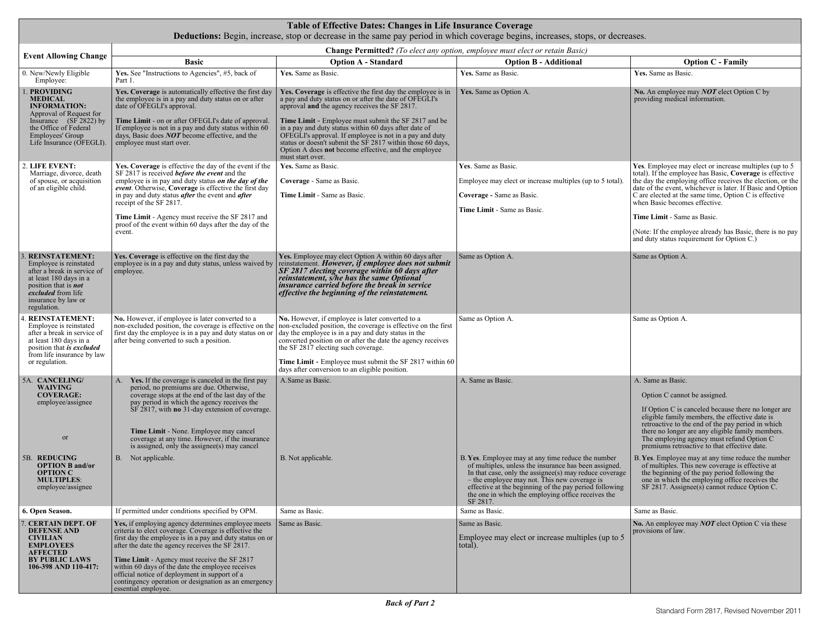| Table of Effective Dates: Changes in Life Insurance Coverage<br><b>Deductions:</b> Begin, increase, stop or decrease in the same pay period in which coverage begins, increases, stops, or decreases. |                                                                                                                                                                                                                                                                                                                                                                                                                                                                |                                                                                                                                                                                                                                                                                                                                                                                                                                                                                              |                                                                                                                                                                                                                                                                                            |                                                                                                                                                                                                                                                                                                                                                                                                                                                                                    |  |  |  |
|-------------------------------------------------------------------------------------------------------------------------------------------------------------------------------------------------------|----------------------------------------------------------------------------------------------------------------------------------------------------------------------------------------------------------------------------------------------------------------------------------------------------------------------------------------------------------------------------------------------------------------------------------------------------------------|----------------------------------------------------------------------------------------------------------------------------------------------------------------------------------------------------------------------------------------------------------------------------------------------------------------------------------------------------------------------------------------------------------------------------------------------------------------------------------------------|--------------------------------------------------------------------------------------------------------------------------------------------------------------------------------------------------------------------------------------------------------------------------------------------|------------------------------------------------------------------------------------------------------------------------------------------------------------------------------------------------------------------------------------------------------------------------------------------------------------------------------------------------------------------------------------------------------------------------------------------------------------------------------------|--|--|--|
| <b>Change Permitted?</b> (To elect any option, employee must elect or retain Basic)                                                                                                                   |                                                                                                                                                                                                                                                                                                                                                                                                                                                                |                                                                                                                                                                                                                                                                                                                                                                                                                                                                                              |                                                                                                                                                                                                                                                                                            |                                                                                                                                                                                                                                                                                                                                                                                                                                                                                    |  |  |  |
| <b>Event Allowing Change</b>                                                                                                                                                                          | <b>Basic</b>                                                                                                                                                                                                                                                                                                                                                                                                                                                   | <b>Option A - Standard</b>                                                                                                                                                                                                                                                                                                                                                                                                                                                                   | <b>Option B - Additional</b>                                                                                                                                                                                                                                                               | <b>Option C - Family</b>                                                                                                                                                                                                                                                                                                                                                                                                                                                           |  |  |  |
| 0. New/Newly Eligible<br>Employee:                                                                                                                                                                    | Yes. See "Instructions to Agencies", #5, back of<br>Part 1.                                                                                                                                                                                                                                                                                                                                                                                                    | Yes. Same as Basic.                                                                                                                                                                                                                                                                                                                                                                                                                                                                          | Yes. Same as Basic.                                                                                                                                                                                                                                                                        | Yes. Same as Basic.                                                                                                                                                                                                                                                                                                                                                                                                                                                                |  |  |  |
| <b>PROVIDING</b><br><b>MEDICAL</b><br><b>INFORMATION:</b><br>Approval of Request for<br>Insurance (SF 2822) by<br>the Office of Federal<br>Employees' Group<br>Life Insurance (OFEGLI).               | Yes. Coverage is automatically effective the first day<br>the employee is in a pay and duty status on or after<br>date of OFEGLI's approval.<br>Time Limit - on or after OFEGLI's date of approval.<br>If employee is not in a pay and duty status within 60<br>days, Basic does $NOT$ become effective, and the<br>employee must start over.                                                                                                                  | Yes. Coverage is effective the first day the employee is in<br>a pay and duty status on or after the date of OFEGLI's<br>approval and the agency receives the SF 2817.<br>Time Limit - Employee must submit the SF 2817 and be<br>in a pay and duty status within 60 days after date of<br>OFEGLI's approval. If employee is not in a pay and duty<br>status or doesn't submit the SF 2817 within those 60 days,<br>Option A does not become effective, and the employee<br>must start over. | Yes. Same as Option A.                                                                                                                                                                                                                                                                     | No. An employee may $NOT$ elect Option C by<br>providing medical information.                                                                                                                                                                                                                                                                                                                                                                                                      |  |  |  |
| 2. LIFE EVENT:<br>Marriage, divorce, death<br>of spouse, or acquisition<br>of an eligible child.                                                                                                      | Yes. Coverage is effective the day of the event if the<br>SF 2817 is received <i>before the event</i> and the<br>employee is in pay and duty status on the day of the<br>event. Otherwise, Coverage is effective the first day<br>in pay and duty status <i>after</i> the event and <i>after</i><br>receipt of the SF 2817.<br>Time Limit - Agency must receive the SF 2817 and<br>proof of the event within 60 days after the day of the<br>event.            | Yes. Same as Basic.<br>Coverage - Same as Basic.<br>Time Limit - Same as Basic.                                                                                                                                                                                                                                                                                                                                                                                                              | Yes. Same as Basic.<br>Employee may elect or increase multiples (up to 5 total).<br>Coverage - Same as Basic.<br>Time Limit - Same as Basic.                                                                                                                                               | Yes. Employee may elect or increase multiples (up to 5<br>total). If the employee has Basic, Coverage is effective<br>the day the employing office receives the election, or the<br>date of the event, whichever is later. If Basic and Option<br>C are elected at the same time, Option C is effective<br>when Basic becomes effective.<br>Time Limit - Same as Basic.<br>(Note: If the employee already has Basic, there is no pay<br>and duty status requirement for Option C.) |  |  |  |
| 3. REINSTATEMENT:<br>Employee is reinstated<br>after a break in service of<br>at least 180 days in a<br>position that is <i>not</i><br>excluded from life<br>insurance by law or<br>regulation.       | Yes. Coverage is effective on the first day the<br>employee is in a pay and duty status, unless waived by<br>employee.                                                                                                                                                                                                                                                                                                                                         | Yes. Employee may elect Option A within 60 days after<br>reinstatement. <i>However</i> , <i>if employee does not submit</i><br>SF 2817 electing coverage within 60 days after<br>reinstatement, s/he has the same Optional<br>insurance carried before the break in service<br>effective the beginning of the reinstatement.                                                                                                                                                                 | Same as Option A.                                                                                                                                                                                                                                                                          | Same as Option A.                                                                                                                                                                                                                                                                                                                                                                                                                                                                  |  |  |  |
| . REINSTATEMENT:<br>Employee is reinstated<br>after a break in service of<br>at least 180 days in a<br>position that <i>is excluded</i><br>from life insurance by law<br>or regulation.               | No. However, if employee is later converted to a<br>first day the employee is in a pay and duty status on or<br>after being converted to such a position.                                                                                                                                                                                                                                                                                                      | No. However, if employee is later converted to a<br>non-excluded position, the coverage is effective on the non-excluded position, the coverage is effective on the first<br>day the employee is in a pay and duty status in the<br>converted position on or after the date the agency receives<br>the SF 2817 electing such coverage.<br>Time Limit - Employee must submit the SF 2817 within 60<br>days after conversion to an eligible position.                                          | Same as Option A.                                                                                                                                                                                                                                                                          | Same as Option A.                                                                                                                                                                                                                                                                                                                                                                                                                                                                  |  |  |  |
| 5A. CANCELING/<br><b>WAIVING</b><br><b>COVERAGE:</b><br>employee/assignee<br>or<br>5B. REDUCING                                                                                                       | Yes. If the coverage is canceled in the first pay<br>$A_{\cdot}$<br>period, no premiums are due. Otherwise,<br>coverage stops at the end of the last day of the<br>pay period in which the agency receives the<br>SF 2817, with <b>no</b> 31-day extension of coverage.<br>Time Limit - None. Employee may cancel<br>coverage at any time. However, if the insurance<br>is assigned, only the assignee(s) may cancel<br>B. Not applicable.                     | A. Same as Basic.<br>B. Not applicable.                                                                                                                                                                                                                                                                                                                                                                                                                                                      | A. Same as Basic.<br>B. Yes. Employee may at any time reduce the number                                                                                                                                                                                                                    | A. Same as Basic.<br>Option C cannot be assigned.<br>If Option C is canceled because there no longer are<br>eligible family members, the effective date is<br>retroactive to the end of the pay period in which<br>there no longer are any eligible family members.<br>The employing agency must refund Option C<br>premiums retroactive to that effective date.<br>B. Yes. Employee may at any time reduce the number                                                             |  |  |  |
| <b>OPTION B and/or</b><br><b>OPTION C</b><br><b>MULTIPLES:</b><br>employee/assignee                                                                                                                   |                                                                                                                                                                                                                                                                                                                                                                                                                                                                |                                                                                                                                                                                                                                                                                                                                                                                                                                                                                              | of multiples, unless the insurance has been assigned.<br>In that case, only the assignee(s) may reduce coverage<br>- the employee may not. This new coverage is<br>effective at the beginning of the pay period following<br>the one in which the employing office receives the<br>SF 2817 | of multiples. This new coverage is effective at<br>the beginning of the pay period following the<br>one in which the employing office receives the<br>SF 2817. Assignee(s) cannot reduce Option C.                                                                                                                                                                                                                                                                                 |  |  |  |
| 6. Open Season.                                                                                                                                                                                       | If permitted under conditions specified by OPM.                                                                                                                                                                                                                                                                                                                                                                                                                | Same as Basic.                                                                                                                                                                                                                                                                                                                                                                                                                                                                               | Same as Basic.                                                                                                                                                                                                                                                                             | Same as Basic.                                                                                                                                                                                                                                                                                                                                                                                                                                                                     |  |  |  |
| 7. CERTAIN DEPT. OF<br><b>DEFENSE AND</b><br><b>CIVILIAN</b><br><b>EMPLOYEES</b><br>AFFECTED<br><b>BY PUBLIC LAWS</b><br>106-398 AND 110-417:                                                         | Yes, if employing agency determines employee meets<br>criteria to elect coverage. Coverage is effective the<br>first day the employee is in a pay and duty status on or<br>after the date the agency receives the SF 2817.<br>Time Limit - Agency must receive the SF 2817<br>within 60 days of the date the employee receives<br>official notice of deployment in support of a<br>contingency operation or designation as an emergency<br>essential employee. | Same as Basic.                                                                                                                                                                                                                                                                                                                                                                                                                                                                               | Same as Basic.<br>Employee may elect or increase multiples (up to 5<br>total).                                                                                                                                                                                                             | No. An employee may $NOT$ elect Option C via these<br>provisions of law.                                                                                                                                                                                                                                                                                                                                                                                                           |  |  |  |